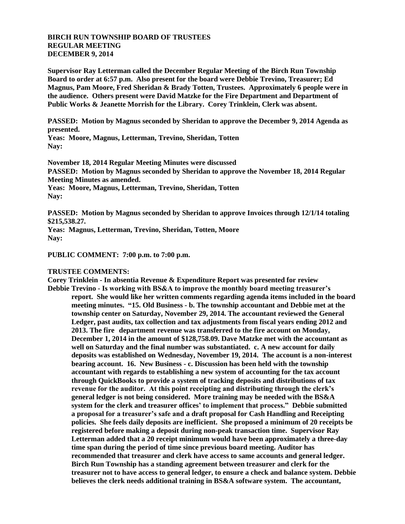## **BIRCH RUN TOWNSHIP BOARD OF TRUSTEES REGULAR MEETING DECEMBER 9, 2014**

**Supervisor Ray Letterman called the December Regular Meeting of the Birch Run Township Board to order at 6:57 p.m. Also present for the board were Debbie Trevino, Treasurer; Ed Magnus, Pam Moore, Fred Sheridan & Brady Totten, Trustees. Approximately 6 people were in the audience. Others present were David Matzke for the Fire Department and Department of Public Works & Jeanette Morrish for the Library. Corey Trinklein, Clerk was absent.** 

**PASSED: Motion by Magnus seconded by Sheridan to approve the December 9, 2014 Agenda as presented.**

**Yeas: Moore, Magnus, Letterman, Trevino, Sheridan, Totten Nay:**

**November 18, 2014 Regular Meeting Minutes were discussed PASSED: Motion by Magnus seconded by Sheridan to approve the November 18, 2014 Regular Meeting Minutes as amended.**

**Yeas: Moore, Magnus, Letterman, Trevino, Sheridan, Totten Nay:**

**PASSED: Motion by Magnus seconded by Sheridan to approve Invoices through 12/1/14 totaling \$215,538.27.**

**Yeas: Magnus, Letterman, Trevino, Sheridan, Totten, Moore Nay:**

**PUBLIC COMMENT: 7:00 p.m. to 7:00 p.m.**

## **TRUSTEE COMMENTS:**

**Corey Trinklein - In absentia Revenue & Expenditure Report was presented for review Debbie Trevino - Is working with BS&A to improve the monthly board meeting treasurer's report. She would like her written comments regarding agenda items included in the board meeting minutes. "15. Old Business - b. The township accountant and Debbie met at the township center on Saturday, November 29, 2014. The accountant reviewed the General Ledger, past audits, tax collection and tax adjustments from fiscal years ending 2012 and 2013. The fire department revenue was transferred to the fire account on Monday, December 1, 2014 in the amount of \$128,758.09. Dave Matzke met with the accountant as well on Saturday and the final number was substantiated. c. A new account for daily deposits was established on Wednesday, November 19, 2014. The account is a non-interest bearing account. 16. New Business - c. Discussion has been held with the township accountant with regards to establishing a new system of accounting for the tax account through QuickBooks to provide a system of tracking deposits and distributions of tax revenue for the auditor. At this point receipting and distributing through the clerk's general ledger is not being considered. More training may be needed with the BS&A system for the clerk and treasurer offices' to implement that process." Debbie submitted a proposal for a treasurer's safe and a draft proposal for Cash Handling and Receipting policies. She feels daily deposits are inefficient. She proposed a minimum of 20 receipts be registered before making a deposit during non-peak transaction time. Supervisor Ray Letterman added that a 20 receipt minimum would have been approximately a three-day time span during the period of time since previous board meeting. Auditor has recommended that treasurer and clerk have access to same accounts and general ledger. Birch Run Township has a standing agreement between treasurer and clerk for the treasurer not to have access to general ledger, to ensure a check and balance system. Debbie believes the clerk needs additional training in BS&A software system. The accountant,**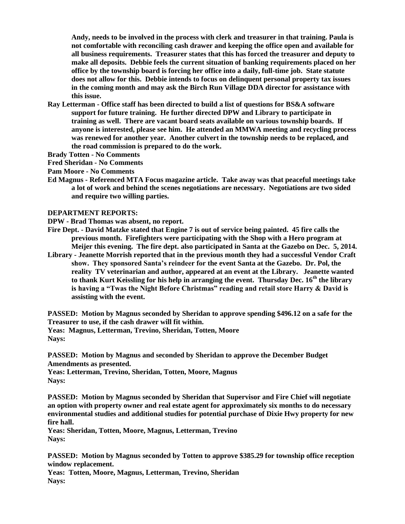**Andy, needs to be involved in the process with clerk and treasurer in that training. Paula is not comfortable with reconciling cash drawer and keeping the office open and available for all business requirements. Treasurer states that this has forced the treasurer and deputy to make all deposits. Debbie feels the current situation of banking requirements placed on her office by the township board is forcing her office into a daily, full-time job. State statute does not allow for this. Debbie intends to focus on delinquent personal property tax issues in the coming month and may ask the Birch Run Village DDA director for assistance with this issue.** 

**Ray Letterman - Office staff has been directed to build a list of questions for BS&A software support for future training. He further directed DPW and Library to participate in training as well. There are vacant board seats available on various township boards. If anyone is interested, please see him. He attended an MMWA meeting and recycling process was renewed for another year. Another culvert in the township needs to be replaced, and the road commission is prepared to do the work.** 

**Brady Totten - No Comments**

**Fred Sheridan - No Comments**

**Pam Moore - No Comments**

**Ed Magnus - Referenced MTA Focus magazine article. Take away was that peaceful meetings take a lot of work and behind the scenes negotiations are necessary. Negotiations are two sided and require two willing parties.**

## **DEPARTMENT REPORTS:**

**DPW - Brad Thomas was absent, no report.** 

- **Fire Dept. - David Matzke stated that Engine 7 is out of service being painted. 45 fire calls the previous month. Firefighters were participating with the Shop with a Hero program at Meijer this evening. The fire dept. also participated in Santa at the Gazebo on Dec. 5, 2014.**
- **Library - Jeanette Morrish reported that in the previous month they had a successful Vendor Craft show. They sponsored Santa's reindeer for the event Santa at the Gazebo. Dr. Pol, the reality TV veterinarian and author, appeared at an event at the Library. Jeanette wanted to thank Kurt Keissling for his help in arranging the event. Thursday Dec. 16th the library is having a "Twas the Night Before Christmas" reading and retail store Harry & David is assisting with the event.**

**PASSED: Motion by Magnus seconded by Sheridan to approve spending \$496.12 on a safe for the Treasurer to use, if the cash drawer will fit within. Yeas: Magnus, Letterman, Trevino, Sheridan, Totten, Moore Nays:**

**PASSED: Motion by Magnus and seconded by Sheridan to approve the December Budget Amendments as presented.** 

**Yeas: Letterman, Trevino, Sheridan, Totten, Moore, Magnus Nays:**

**PASSED: Motion by Magnus seconded by Sheridan that Supervisor and Fire Chief will negotiate an option with property owner and real estate agent for approximately six months to do necessary environmental studies and additional studies for potential purchase of Dixie Hwy property for new fire hall.**

**Yeas: Sheridan, Totten, Moore, Magnus, Letterman, Trevino Nays:**

**PASSED: Motion by Magnus seconded by Totten to approve \$385.29 for township office reception window replacement.**

**Yeas: Totten, Moore, Magnus, Letterman, Trevino, Sheridan Nays:**